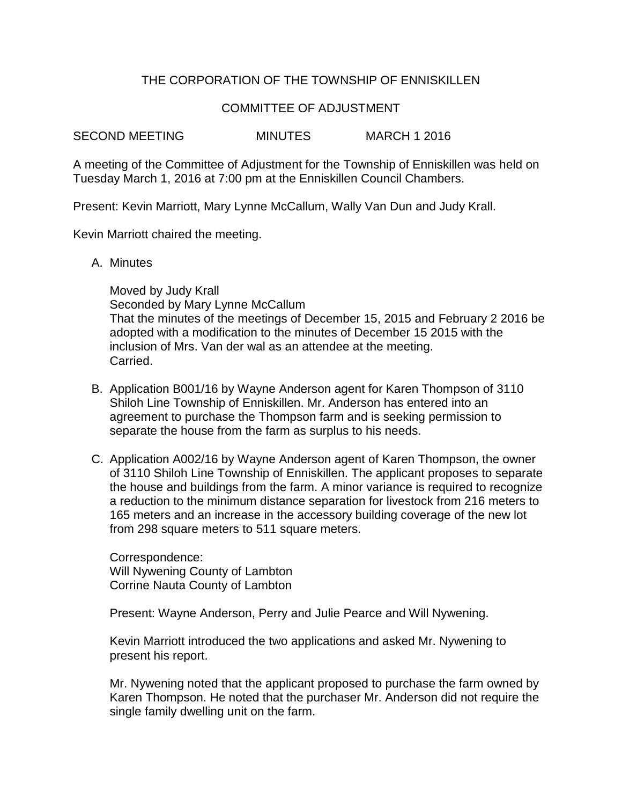## THE CORPORATION OF THE TOWNSHIP OF ENNISKILLEN

## COMMITTEE OF ADJUSTMENT

SECOND MEETING MINUTES MARCH 1 2016

A meeting of the Committee of Adjustment for the Township of Enniskillen was held on Tuesday March 1, 2016 at 7:00 pm at the Enniskillen Council Chambers.

Present: Kevin Marriott, Mary Lynne McCallum, Wally Van Dun and Judy Krall.

Kevin Marriott chaired the meeting.

A. Minutes

Moved by Judy Krall Seconded by Mary Lynne McCallum That the minutes of the meetings of December 15, 2015 and February 2 2016 be adopted with a modification to the minutes of December 15 2015 with the inclusion of Mrs. Van der wal as an attendee at the meeting. Carried.

- B. Application B001/16 by Wayne Anderson agent for Karen Thompson of 3110 Shiloh Line Township of Enniskillen. Mr. Anderson has entered into an agreement to purchase the Thompson farm and is seeking permission to separate the house from the farm as surplus to his needs.
- C. Application A002/16 by Wayne Anderson agent of Karen Thompson, the owner of 3110 Shiloh Line Township of Enniskillen. The applicant proposes to separate the house and buildings from the farm. A minor variance is required to recognize a reduction to the minimum distance separation for livestock from 216 meters to 165 meters and an increase in the accessory building coverage of the new lot from 298 square meters to 511 square meters.

Correspondence: Will Nywening County of Lambton Corrine Nauta County of Lambton

Present: Wayne Anderson, Perry and Julie Pearce and Will Nywening.

Kevin Marriott introduced the two applications and asked Mr. Nywening to present his report.

Mr. Nywening noted that the applicant proposed to purchase the farm owned by Karen Thompson. He noted that the purchaser Mr. Anderson did not require the single family dwelling unit on the farm.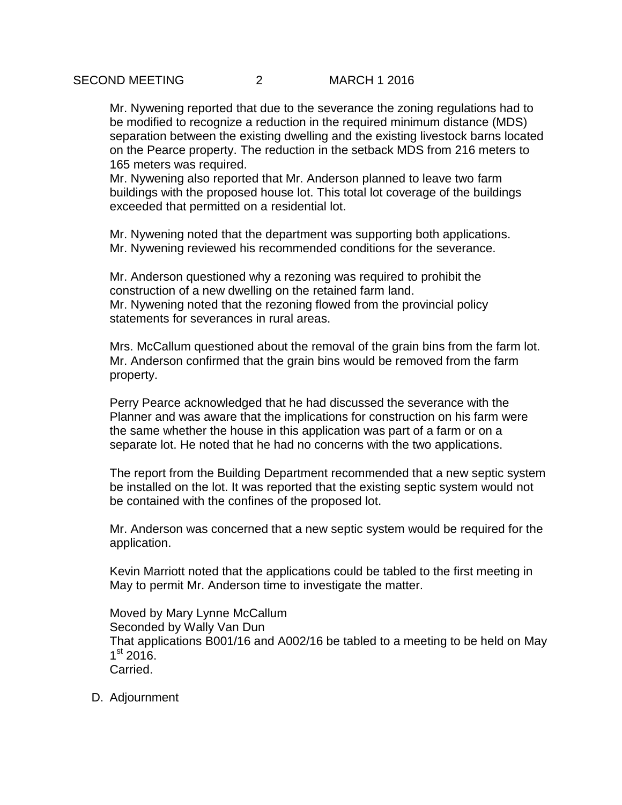Mr. Nywening reported that due to the severance the zoning regulations had to be modified to recognize a reduction in the required minimum distance (MDS) separation between the existing dwelling and the existing livestock barns located on the Pearce property. The reduction in the setback MDS from 216 meters to 165 meters was required.

Mr. Nywening also reported that Mr. Anderson planned to leave two farm buildings with the proposed house lot. This total lot coverage of the buildings exceeded that permitted on a residential lot.

Mr. Nywening noted that the department was supporting both applications. Mr. Nywening reviewed his recommended conditions for the severance.

Mr. Anderson questioned why a rezoning was required to prohibit the construction of a new dwelling on the retained farm land. Mr. Nywening noted that the rezoning flowed from the provincial policy statements for severances in rural areas.

Mrs. McCallum questioned about the removal of the grain bins from the farm lot. Mr. Anderson confirmed that the grain bins would be removed from the farm property.

Perry Pearce acknowledged that he had discussed the severance with the Planner and was aware that the implications for construction on his farm were the same whether the house in this application was part of a farm or on a separate lot. He noted that he had no concerns with the two applications.

The report from the Building Department recommended that a new septic system be installed on the lot. It was reported that the existing septic system would not be contained with the confines of the proposed lot.

Mr. Anderson was concerned that a new septic system would be required for the application.

Kevin Marriott noted that the applications could be tabled to the first meeting in May to permit Mr. Anderson time to investigate the matter.

Moved by Mary Lynne McCallum Seconded by Wally Van Dun That applications B001/16 and A002/16 be tabled to a meeting to be held on May 1<sup>st</sup> 2016. Carried.

D. Adjournment